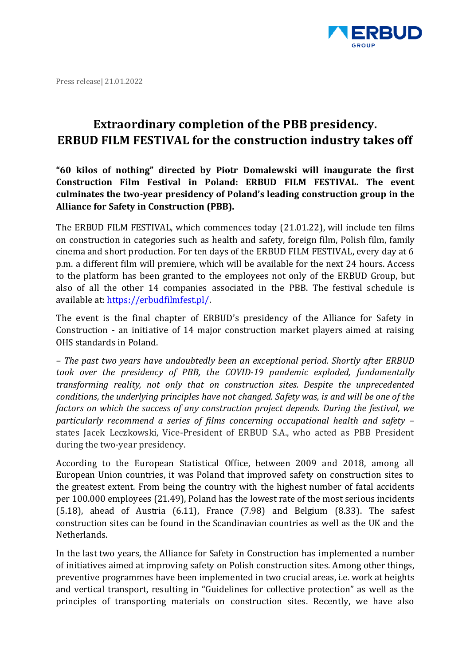

Press release| 21.01.2022

## **Extraordinary completion of the PBB presidency. ERBUD FILM FESTIVAL for the construction industry takes off**

**"60 kilos of nothing" directed by Piotr Domalewski will inaugurate the first Construction Film Festival in Poland: ERBUD FILM FESTIVAL. The event culminates the two-year presidency of Poland's leading construction group in the Alliance for Safety in Construction (PBB).**

The ERBUD FILM FESTIVAL, which commences today (21.01.22), will include ten films on construction in categories such as health and safety, foreign film, Polish film, family cinema and short production. For ten days of the ERBUD FILM FESTIVAL, every day at 6 p.m. a different film will premiere, which will be available for the next 24 hours. Access to the platform has been granted to the employees not only of the ERBUD Group, but also of all the other 14 companies associated in the PBB. The festival schedule is available at: https://erbudfilmfest.pl/.

The event is the final chapter of ERBUD's presidency of the Alliance for Safety in Construction - an initiative of 14 major construction market players aimed at raising OHS standards in Poland.

*– The past two years have undoubtedly been an exceptional period. Shortly after ERBUD took over the presidency of PBB, the COVID-19 pandemic exploded, fundamentally transforming reality, not only that on construction sites. Despite the unprecedented conditions, the underlying principles have not changed. Safety was, is and will be one of the factors on which the success of any construction project depends. During the festival, we particularly recommend a series of films concerning occupational health and safety –* states Jacek Leczkowski, Vice-President of ERBUD S.A., who acted as PBB President during the two-year presidency.

According to the European Statistical Office, between 2009 and 2018, among all European Union countries, it was Poland that improved safety on construction sites to the greatest extent. From being the country with the highest number of fatal accidents per 100.000 employees (21.49), Poland has the lowest rate of the most serious incidents (5.18), ahead of Austria (6.11), France (7.98) and Belgium (8.33). The safest construction sites can be found in the Scandinavian countries as well as the UK and the Netherlands.

In the last two years, the Alliance for Safety in Construction has implemented a number of initiatives aimed at improving safety on Polish construction sites. Among other things, preventive programmes have been implemented in two crucial areas, i.e. work at heights and vertical transport, resulting in "Guidelines for collective protection" as well as the principles of transporting materials on construction sites. Recently, we have also